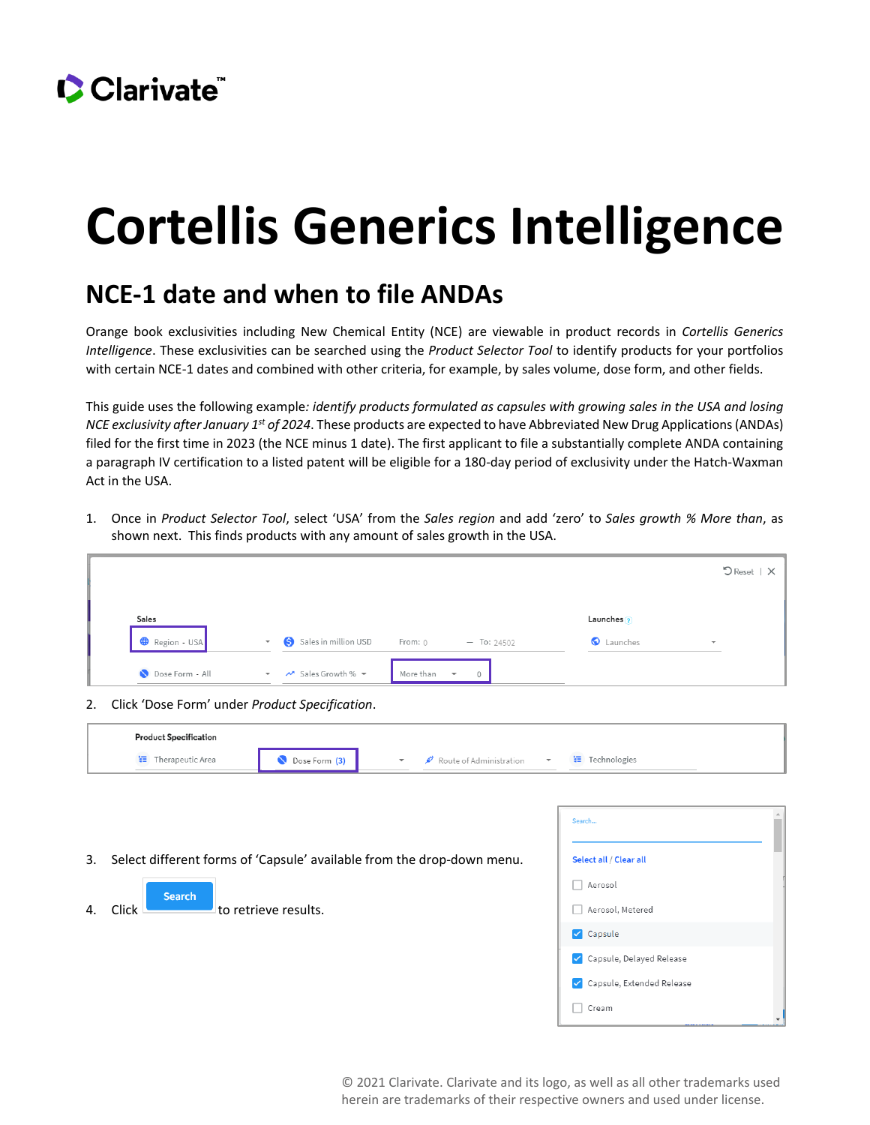## Clarivate

# **Cortellis Generics Intelligence**

#### **NCE-1 date and when to file ANDAs**

Orange book exclusivities including New Chemical Entity (NCE) are viewable in product records in *Cortellis Generics Intelligence*. These exclusivities can be searched using the *Product Selector Tool* to identify products for your portfolios with certain NCE-1 dates and combined with other criteria, for example, by sales volume, dose form, and other fields.

This guide uses the following example*: identify products formulated as capsules with growing sales in the USA and losing NCE exclusivity after January 1st of 2024*. These products are expected to have Abbreviated New Drug Applications (ANDAs) filed for the first time in 2023 (the NCE minus 1 date). The first applicant to file a substantially complete ANDA containing a paragraph IV certification to a listed patent will be eligible for a 180-day period of exclusivity under the Hatch-Waxman Act in the USA.

1. Once in *Product Selector Tool*, select 'USA' from the *Sales region* and add 'zero' to *Sales growth % More than*, as shown next. This finds products with any amount of sales growth in the USA.

|                 |                          |                      |                                                    |                       | $\bigcirc$ Reset   $\times$ |
|-----------------|--------------------------|----------------------|----------------------------------------------------|-----------------------|-----------------------------|
| Sales           |                          |                      |                                                    | Launches <sup>?</sup> |                             |
| Region - USA    | $\overline{\phantom{a}}$ | Sales in million USD | From: 0<br>$-$ To: 24502                           | Launches              | ٠                           |
| Dose Form - All | $\overline{\phantom{a}}$ | Sales Growth % +     | More than<br>$\overline{\phantom{a}}$<br>$\bigcap$ |                       |                             |

2. Click 'Dose Form' under *Product Specification*.

| <b>Product Specification</b> |               |                         |              |                     |
|------------------------------|---------------|-------------------------|--------------|---------------------|
| Therapeutic Area             | Dose Form (3) | Route of Administration | $\mathbf{v}$ | $=$<br>Technologies |

|    |                                                                           | Search                    |
|----|---------------------------------------------------------------------------|---------------------------|
|    | 3. Select different forms of 'Capsule' available from the drop-down menu. | Select all / Clear all    |
|    | <b>Search</b>                                                             | Aerosol<br>H              |
| 4. | <b>Click</b><br>to retrieve results.                                      | Aerosol, Metered<br>H     |
|    |                                                                           | $\triangledown$ Capsule   |
|    |                                                                           | Capsule, Delayed Release  |
|    |                                                                           | Capsule, Extended Release |
|    |                                                                           | Cream                     |

© 2021 Clarivate. Clarivate and its logo, as well as all other trademarks used herein are trademarks of their respective owners and used under license.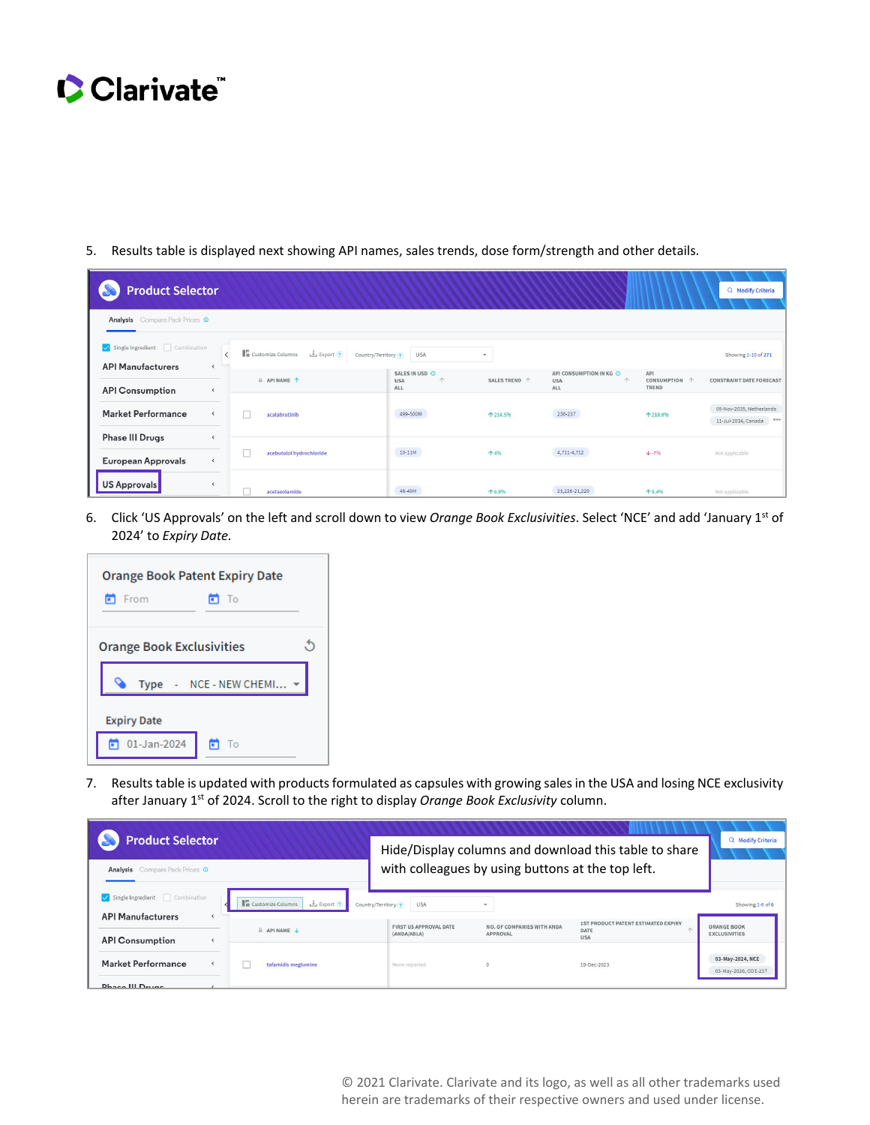## Clarivate

5. Results table is displayed next showing API names, sales trends, dose form/strength and other details.

| <b>Product Selector</b><br>Q Modify Criteria              |                                                          |                                                             |                                                 |               |                                                                   |                               |                                                          |  |  |  |
|-----------------------------------------------------------|----------------------------------------------------------|-------------------------------------------------------------|-------------------------------------------------|---------------|-------------------------------------------------------------------|-------------------------------|----------------------------------------------------------|--|--|--|
| Analysis Compare Pack Prices O                            |                                                          |                                                             |                                                 |               |                                                                   |                               |                                                          |  |  |  |
| Single Ingredient Combination<br><b>API Manufacturers</b> | $\overline{\phantom{a}}$                                 | Ta Customize Columns<br>$Export$ (?)<br>Country/Territory ? | <b>USA</b>                                      | ٠             |                                                                   |                               | Showing 1-10 of 271                                      |  |  |  |
| <b>API Consumption</b>                                    | $\left\langle \right\rangle$                             | API NAME 1                                                  | SALES IN USD O<br>个<br><b>USA</b><br><b>ALL</b> | SALES TREND 个 | API CONSUMPTION IN KG @<br>$\uparrow$<br><b>USA</b><br><b>ALL</b> | API<br>CONSUMPTION 个<br>TREND | <b>CONSTRAINT DATE FORECAST</b>                          |  |  |  |
| <b>Market Performance</b>                                 | $\overline{\phantom{a}}$                                 | acalabrutinib                                               | 499-500M                                        | ↑ 214.5%      | 236-237                                                           |                               | 05-Nov-2035, Netherlands<br>11-Jul-2034, Canada<br>0.0.0 |  |  |  |
| <b>Phase III Drugs</b><br><b>European Approvals</b>       | $\overline{\phantom{a}}$<br>$\left\langle \right\rangle$ | acebutolol hydrochloride                                    | $10 - 11M$                                      | 1496          | 4,711-4,712                                                       | $+ -796$                      | Not applicable                                           |  |  |  |
| US Approvals                                              | $\left\langle \right\rangle$                             | acetazolamide                                               | 48-49M                                          | 16.8%         | 21,228-21,229                                                     | 19.4%                         | Not applicable                                           |  |  |  |

6. Click 'US Approvals' on the left and scroll down to view *Orange Book Exclusivities*. Select 'NCE' and add 'January 1st of 2024' to *Expiry Date.*

| <b>Orange Book Patent Expiry Date</b><br>M To<br>From<br>m |  |  |  |  |  |
|------------------------------------------------------------|--|--|--|--|--|
| <b>Orange Book Exclusivities</b>                           |  |  |  |  |  |
| Type - NCE - NEW CHEMI $\blacktriangledown$                |  |  |  |  |  |
| <b>Expiry Date</b>                                         |  |  |  |  |  |
| $01$ -Jan-2024<br>- To<br>п                                |  |  |  |  |  |

7. Results table is updated with products formulated as capsules with growing sales in the USA and losing NCE exclusivity after January 1st of 2024. Scroll to the right to display *Orange Book Exclusivity* column.

| <b>Product Selector</b>                                   |                                                                              | Hide/Display columns and download this table to share | Q Modify Criteria                             |                                                                  |                                            |
|-----------------------------------------------------------|------------------------------------------------------------------------------|-------------------------------------------------------|-----------------------------------------------|------------------------------------------------------------------|--------------------------------------------|
| <b>Analysis</b> Compare Pack Prices O                     | with colleagues by using buttons at the top left.                            |                                                       |                                               |                                                                  |                                            |
| Single Ingredient Combination<br><b>API Manufacturers</b> | <b>Ta</b> Customize Columns<br>$\frac{1}{2}$ Export ?<br>Country/Territory ? | <b>USA</b>                                            |                                               |                                                                  | Showing 1-6 of 6                           |
| <b>API Consumption</b>                                    | $A$ API NAME $\downarrow$                                                    | FIRST US APPROVAL DATE<br>(ANDA/ABLA)                 | NO. OF COMPANIES WITH ANDA<br><b>APPROVAL</b> | <b>1ST PRODUCT PATENT ESTIMATED EXPIRY</b><br>DATE<br><b>USA</b> | <b>ORANGE BOOK</b><br><b>EXCLUSIVITIES</b> |
| Market Performance<br><b>Dhaco III Drugs</b>              | tafamidis meglumine                                                          | None reported                                         |                                               | 19-Dec-2023                                                      | 03-May-2024, NCE<br>03-May-2026, ODE-237   |

© 2021 Clarivate. Clarivate and its logo, as well as all other trademarks used herein are trademarks of their respective owners and used under license.